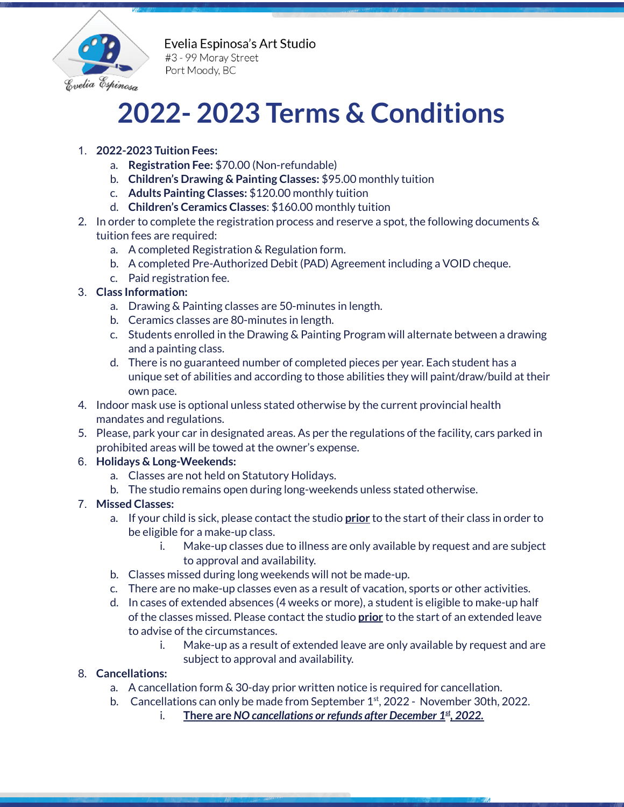

Evelia Espinosa's Art Studio #3 - 99 Moray Street Port Moody, BC

# **2022- 2023 Terms & Conditions**

- 1. **2022-2023 Tuition Fees:**
	- a. **Registration Fee:** \$70.00 (Non-refundable)
	- b. **Children's Drawing & Painting Classes:** \$95.00 monthly tuition
	- c. **Adults Painting Classes:** \$120.00 monthly tuition
	- d. **Children's Ceramics Classes**: \$160.00 monthly tuition
- 2. In order to complete the registration process and reserve a spot, the following documents  $\&$ tuition fees are required:
	- a. A completed Registration & Regulation form.
	- b. A completed Pre-Authorized Debit (PAD) Agreement including a VOID cheque.
	- c. Paid registration fee.
- 3. **Class Information:**
	- a. Drawing & Painting classes are 50-minutes in length.
	- b. Ceramics classes are 80-minutes in length.
	- c. Students enrolled in the Drawing & Painting Program will alternate between a drawing and a painting class.
	- d. There is no guaranteed number of completed pieces per year. Each student has a unique set of abilities and according to those abilities they will paint/draw/build at their own pace.
- 4. Indoor mask use is optional unless stated otherwise by the current provincial health mandates and regulations.
- 5. Please, park your car in designated areas. As per the regulations of the facility, cars parked in prohibited areas will be towed at the owner's expense.
- 6. **Holidays & Long-Weekends:**
	- a. Classes are not held on Statutory Holidays.
	- b. The studio remains open during long-weekends unless stated otherwise.
- 7. **Missed Classes:**
	- a. If your child is sick, please contact the studio **prior** to the start of their class in order to be eligible for a make-up class.
		- i. Make-up classes due to illness are only available by request and are subject to approval and availability.
	- b. Classes missed during long weekends will not be made-up.
	- c. There are no make-up classes even as a result of vacation, sports or other activities.
	- d. In cases of extended absences (4 weeks or more), a student is eligible to make-up half of the classes missed. Please contact the studio **prior** to the start of an extended leave to advise of the circumstances.
		- i. Make-up as a result of extended leave are only available by request and are subject to approval and availability.
- 8. **Cancellations:**
	- a. A cancellation form & 30-day prior written notice is required for cancellation.
	- b. Cancellations can only be made from September  $1<sup>st</sup>$ , 2022 November 30th, 2022.
		- i. **There are** *NO cancellations or refunds after December 1 st , 2022.*